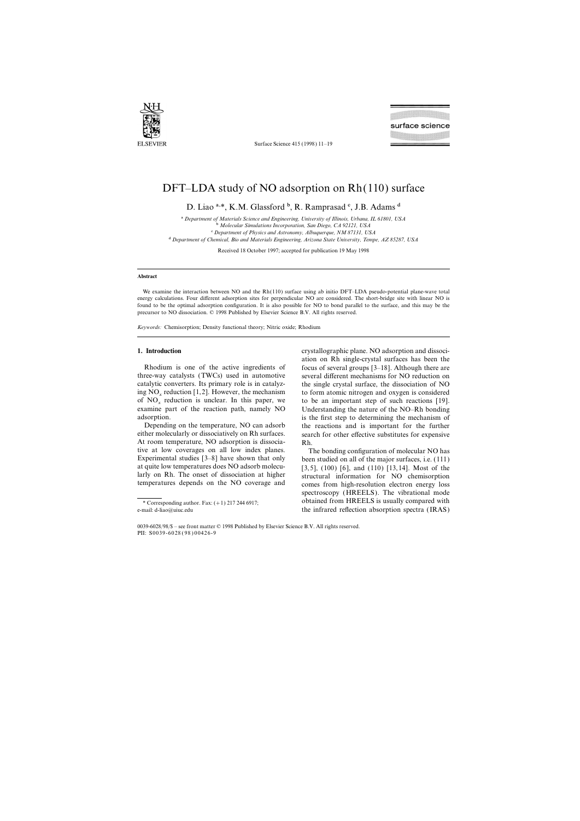

Surface Science 415 (1998) 11–19

# DFT–LDA study of NO adsorption on Rh(110) surface

D. Liao a,\*, K.M. Glassford  $\frac{b}{b}$ , R. Ramprasad  $\frac{c}{c}$ , J.B. Adams d

a *Department of Materials Science and Engineering, Uni*v*ersity of Illinois, Urbana, IL 61801, USA*

b *Molecular Simulations Incorporation, San Diego, CA 92121, USA*

c *Department of Physics and Astronomy, Albuquerque, NM 87131, USA*

d *Department of Chemical, Bio and Materials Engineering, Arizona State Uni*v*ersity, Tempe, AZ 85287, USA*

Received 18 October 1997; accepted for publication 19 May 1998

## **Abstract**

We examine the interaction between NO and the Rh(110) surface using ab initio DFT–LDA pseudo-potential plane-wave total energy calculations. Four different adsorption sites for perpendicular NO are considered. The short-bridge site with linear NO is found to be the optimal adsorption configuration. It is also possible for NO to bond parallel to the surface, and this may be the precursor to NO dissociation. © 1998 Published by Elsevier Science B.V. All rights reserved.

*Keywords:* Chemisorption; Density functional theory; Nitric oxide; Rhodium

three-way catalysts (TWCs) used in automotive several different mechanisms for NO reduction on catalytic converters. Its primary role is in catalyz- the single crystal surface, the dissociation of NO ing NO<sub>x</sub> reduction [1,2]. However, the mechanism to form atomic nitrogen and oxygen is considered<br>of NO<sub>x</sub> reduction is unclear. In this paper, we to be an important step of such reactions [19]. of  $NO_x$  reduction is unclear. In this paper, we examine part of the reaction path, namely NO

At room temperature, NO adsorption is dissocia-<br>tive at low coverages on all low index planes. tive at low coverages on all low index planes. The bonding configuration of molecular NO has<br>Experimental studies [3–8] have shown that only been studied on all of the major surfaces, i.e. (111)

**1. Introduction** crystallographic plane. NO adsorption and dissociation on Rh single-crystal surfaces has been the Rhodium is one of the active ingredients of focus of several groups  $[3-18]$ . Although there are Understanding the nature of the NO–Rh bonding adsorption. is the first step to determining the mechanism of Depending on the temperature, NO can adsorb the reactions and is important for the further either molecularly or dissociatively on Rh surfaces. Search for other effective substitutes for expensive search for other effective substitutes for expensive

Experimental studies  $[3-8]$  have shown that only been studied on all of the major surfaces, i.e. (111) at quite low temperatures does NO adsorb molecu-<br>  $[3, 5]$  (100) [6] and (110) [13, 14]. Most of the at quite low temperatures does NO adsorb molecu-<br>larly on Rh. The onset of dissociation at higher structural information for NO chemisorption larly on Rh. The onset of dissociation at higher structural information for NO chemisorption<br>temperatures depends on the NO coverage and somes from high-resolution electron energy loss comes from high-resolution electron energy loss spectroscopy (HREELS). The vibrational mode \* Corresponding author. Fax:  $(+1)$  217 244 6917; obtained from HREELS is usually compared with e-mail: d-liao@uiuc.edu the infrared reflection absorption spectra (IRAS)

<sup>0039-6028</sup>/98/\$ – see front matter © 1998 Published by Elsevier Science B.V. All rights reserved. PII: S0039-6028 ( 98 ) 00426-9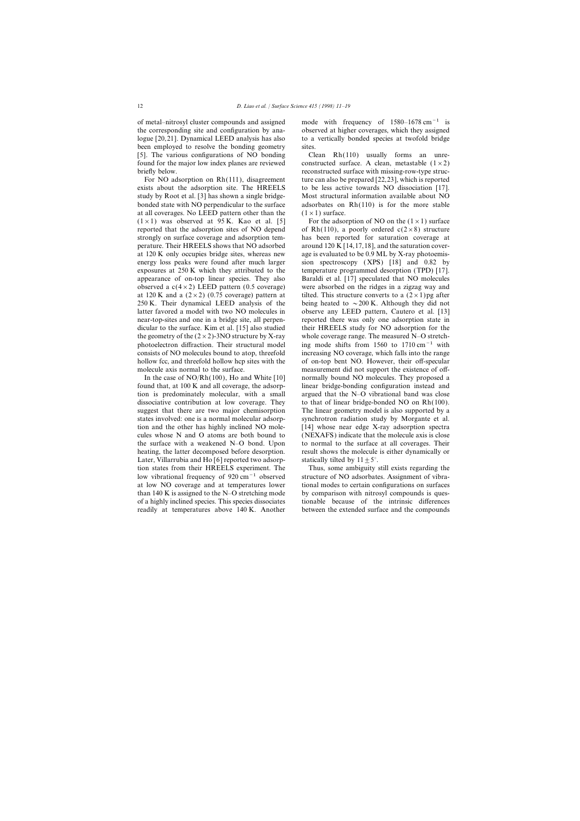of metal–nitrosyl cluster compounds and assigned mode with frequency of 1580–1678 cm<sup>-1</sup> is the corresponding site and configuration by ana- observed at higher coverages, which they assigned logue [20,21]. Dynamical LEED analysis has also to a vertically bonded species at twofold bridge been employed to resolve the bonding geometry sites. [5]. The various configurations of NO bonding Clean Rh(110) usually forms an unrefound for the major low index planes are reviewed constructed surface. A clean, metastable  $(1 \times 2)$ briefly below. The reconstructed surface with missing-row-type struc-

exists about the adsorption site. The HREELS to be less active towards NO dissociation [17]. study by Root et al. [3] has shown a single bridge- Most structural information available about NO bonded state with NO perpendicular to the surface adsorbates on  $Rh(110)$  is for the more stable at all coverages. No LEED pattern other than the  $(1\times1)$  surface.  $(1 \times 1)$  was observed at 95 K. Kao et al. [5] For the adsorption of NO on the  $(1 \times 1)$  surface reported that the adsorption sites of NO depend of Rh(110), a poorly ordered  $c(2\times8)$  structure strongly on surface coverage and adsorption tem- has been reported for saturation coverage at perature. Their HREELS shows that NO adsorbed around 120 K [14,17,18], and the saturation coverat 120 K only occupies bridge sites, whereas new age is evaluated to be 0.9 ML by X-ray photoemisenergy loss peaks were found after much larger sion spectroscopy (XPS) [18] and 0.82 by exposures at 250 K which they attributed to the temperature programmed desorption (TPD) [17]. appearance of on-top linear species. They also Baraldi et al. [17] speculated that NO molecules observed a  $c(4\times2)$  LEED pattern (0.5 coverage) were absorbed on the ridges in a zigzag way and at 120 K and a  $(2\times2)$  (0.75 coverage) pattern at tilted. This structure converts to a  $(2\times1)$ pg after 250 K. Their dynamical LEED analysis of the being heated to  $\sim$  200 K. Although they did not latter favored a model with two NO molecules in observe any LEED pattern, Cautero et al. [13] near-top-sites and one in a bridge site, all perpen- reported there was only one adsorption state in dicular to the surface. Kim et al. [15] also studied their HREELS study for NO adsorption for the the geometry of the  $(2\times2)$ -3NO structure by X-ray whole coverage range. The measured N–O stretchphotoelectron diffraction. Their structural model ing mode shifts from 1560 to 1710 cm<sup>-1</sup> with consists of NO molecules bound to atop, threefold increasing NO coverage, which falls into the range hollow fcc, and threefold hollow hcp sites with the of on-top bent NO. However, their off-specular molecule axis normal to the surface. measurement did not support the existence of off-

found that, at 100 K and all coverage, the adsorp- linear bridge-bonding configuration instead and tion is predominately molecular, with a small argued that the N–O vibrational band was close dissociative contribution at low coverage. They to that of linear bridge-bonded NO on  $Rh(100)$ . suggest that there are two major chemisorption The linear geometry model is also supported by a states involved: one is a normal molecular adsorp- synchrotron radiation study by Morgante et al. tion and the other has highly inclined NO mole- [14] whose near edge X-ray adsorption spectra cules whose N and O atoms are both bound to (NEXAFS) indicate that the molecule axis is close the surface with a weakened N–O bond. Upon to normal to the surface at all coverages. Their heating, the latter decomposed before desorption. result shows the molecule is either dynamically or Later, Villarrubia and Ho [6] reported two adsorp- statically tilted by  $11 \pm 5^{\circ}$ . tion states from their HREELS experiment. The Thus, some ambiguity still exists regarding the low vibrational frequency of 920 cm−1 observed structure of NO adsorbates. Assignment of vibraat low NO coverage and at temperatures lower tional modes to certain configurations on surfaces than 140 K is assigned to the N–O stretching mode by comparison with nitrosyl compounds is quesof a highly inclined species. This species dissociates tionable because of the intrinsic differences readily at temperatures above 140 K. Another between the extended surface and the compounds

For NO adsorption on  $Rh(111)$ , disagreement ture can also be prepared [22,23], which is reported

In the case of NO/Rh(100), Ho and White [10] normally bound NO molecules. They proposed a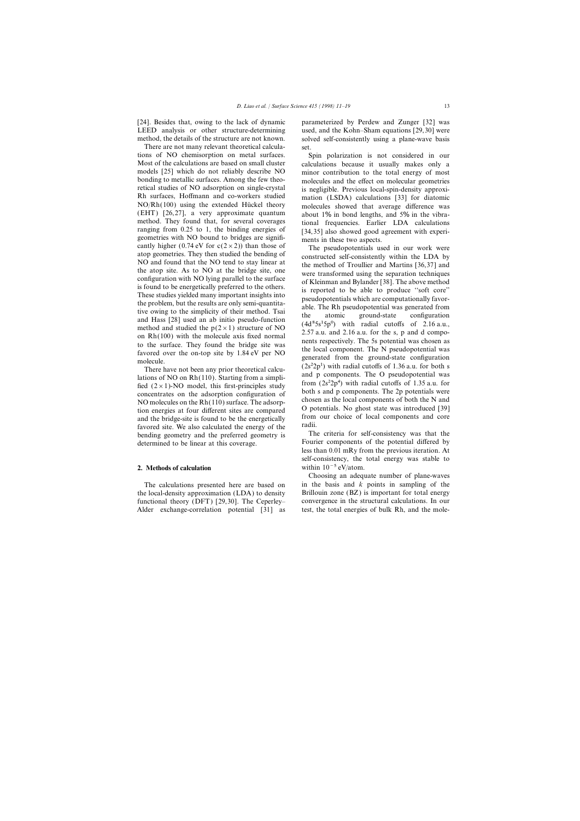There are not many relevant theoretical calcula- set. tions of NO chemisorption on metal surfaces. Spin polarization is not considered in our Most of the calculations are based on small cluster calculations because it usually makes only a<br>models [25] which do not reliably describe NO iminor contribution to the total energy of most models [25] which do not reliably describe NO minor contribution to the total energy of most<br>bonding to metallic surfaces. Among the few theo-<br>molecules and the effect on molecular geometries bonding to metallic surfaces. Among the few theo-<br>
retical studies of NO adsorption on single-crystal is negligible. Previous local-spin-density approxiretical studies of NO adsorption on single-crystal is negligible. Previous local-spin-density approxi-<br>Rh surfaces, Hoffmann and co-workers studied in mation (LSDA) calculations [33] for diatomic NO/Rh(100) using the extended Hückel theory molecules showed that average difference was<br>(EHT) [26,27], a very approximate quantum about 1% in bond lengths and 5% in the vibra-(EHT) [26,27], a very approximate quantum about  $1\%$  in bond lengths, and  $5\%$  in the vibra-<br>method. They found that, for several coverages in the vibramethod. They found that, for several coverages<br>
rangin frequencies. Earlier LDA calculations<br>
rangin from 0.25 to 1, the binding energies of<br>
geometries with NO bound to bridges are significantly higher (0.74 eV for c(2 ×

concentrates on the adsorption configuration of<br>NO molecules on the Rh(110) surface. The adsorp-<br>tion energies at four different sites are compared<br>O potentials. No ghost state was introduced [39] tion energies at four different sites are compared<br>and the bridge-site is found to be the energetically<br>from our choice of local components and core<br>favored site. We also calculated the energy of the<br>radii. bending geometry and the preferred geometry is The criteria for self-consistency was that the determined to be linear at this coverage. Fourier components of the potential differed by

Alder exchange-correlation potential [31] as test, the total energies of bulk Rh, and the mole-

[24]. Besides that, owing to the lack of dynamic parameterized by Perdew and Zunger [32] was LEED analysis or other structure-determining used, and the Kohn–Sham equations [29,30] were method, the details of the structure are not known. solved self-consistently using a plane-wave basis

mation (LSDA) calculations [33] for diatomic

There have not been any prior theoretical calcu-<br>lations of NO on Rh(110). Starting from a simpli-<br>fied (2 × 1)-NO model, this first-principles study<br>concentrates on the adsorption configuration of both s and p components

less than 0.01 mRy from the previous iteration. At self-consistency, the total energy was stable to **2. Methods of calculation** within  $10^{-5}$  eV/atom.

Choosing an adequate number of plane-waves The calculations presented here are based on in the basis and *k* points in sampling of the the local-density approximation (LDA) to density Brillouin zone (BZ) is important for total energy functional theory (DFT) [29,30]. The Ceperley– convergence in the structural calculations. In our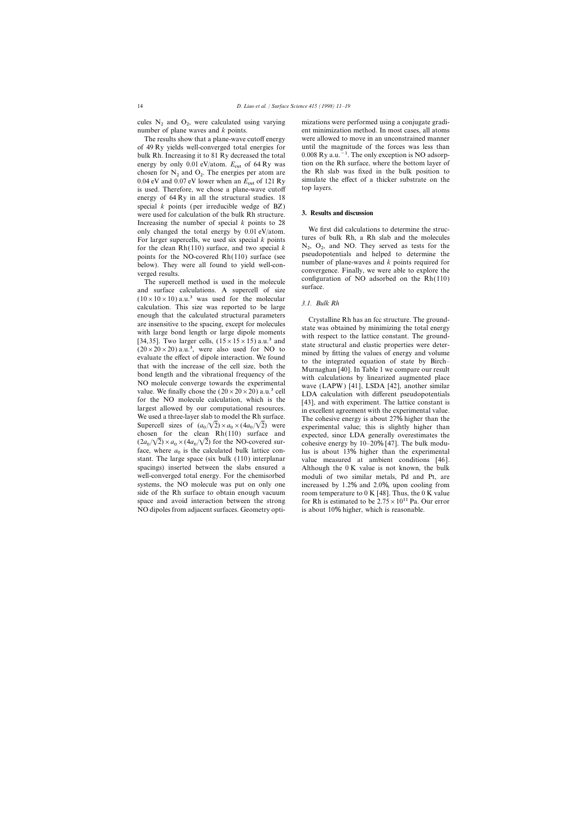cules  $N_2$  and  $O_2$ , were calculated using varying number of plane waves and k points.

bulk Rh. Increasing it to 81 Ry decreased the total chosen for  $N_2$  and  $O_2$ . The energies per atom are the Rh slab was fixed in the bulk position to 2.04 aV and 0.07 aV laws when are  $F = 5121 R$ . is used. Therefore, we chose a plane-wave cutoff energy of 64 Ry in all the structural studies. 18 special *k* points (per irreducible wedge of BZ) were used for calculation of the bulk Rh structure. **3. Results and discussion** Increasing the number of special *k* points to 28<br>
only changed the total energy by 0.01 eV/atom. We first did calculations to determine the struc-<br>
Early energy by 0.01 eV/atom. We first did calculations to determine the For larger supercells, we used six special *k* points tures of bulk Rh, a Rh slab and the molecules for the clean Rh(110) surface, and two special *k*  $N_2$ ,  $O_2$ , and NO. They served as tests for the points for the NO-c for the clean Rh(110) surface, and two special  $k$ 

 $(10 \times 10 \times 10)$  a.u.<sup>3</sup> was used for the molecular *3.1. Bulk Rh* calculation. This size was reported to be large *3.1. Bulk Rh* enough that the calculated structural parameters<br>are insensitive to the spacing, except for molecules<br>are insensitive to the spacing, except for molecules<br>state was obtained by minimizing the total energy<br>f(13,35). Two la Supercell sizes of  $(a_0/\sqrt{2}) \times a_0 \times (4a_0/\sqrt{2})$  were experimental value; this is slightly higher than chosen for the clean Rh(110) surface and expected, since LDA generally overestimates the  $\sqrt{2} \times a_0 \times (4a)$  $(2a_0/\sqrt{2}) \times a_0 \times (4a)$ face, where  $a_0$  is the face, where  $a_0$  is the calculated bulk lattice con-<br>stant. The large space (six bulk (110) interplanar value measured at ambient conditions [46]. spacings) inserted between the slabs ensured a Although the 0 K value is not known, the bulk well-converged total energy. For the chemisorbed moduli of two similar metals, Pd and Pt, are systems, the NO molecule was put on only one increased by 1.2% and 2.0%, upon cooling from side of the Rh surface to obtain enough vacuum room temperature to  $0 K [48]$ . Thus, the  $0 K$  value space and avoid interaction between the strong for Rh is estimated to be  $2.75 \times 10^{11}$  Pa. Our error NO dipoles from adjacent surfaces. Geometry opti- is about 10% higher, which is reasonable.

mizations were performed using a conjugate gradient minimization method. In most cases, all atoms The results show that a plane-wave cutoff energy were allowed to move in an unconstrained manner of 49 Ry yields well-converged total energies for until the magnitude of the forces was less than bulk Rh. Increasing it to 81 Ry decreased the total  $0.008$  Ry a.u.<sup>-1</sup>. The only exception is NO adsorpenergy by only 0.01 eV/atom.  $E_{\text{cut}}$  of 64 Ry was tion on the Rh surface, where the bottom layer of chosen for N<sub>2</sub> and O<sub>2</sub>. The energies per atom are the Rh slab was fixed in the bulk position to 0.04 eV and 0.07 eV lower when an  $E_{\text{cut}}$  of 121 Ry simulate the effect of a thicker substrate on the is used. Therefore, we chose a plane-wave cutoff top layers.

 $N_2$ ,  $O_2$ , and NO. They served as tests for the points for the NO-covered Rh(110) surface (see<br>below). They were all found to yield well-con-<br>verged results.<br>The supercell method is used in the molecule<br>and surface calculations. A supercell of size<br>and surface.

cohesive energy by  $10-20\%$  [47]. The bulk moduvalue measured at ambient conditions [46].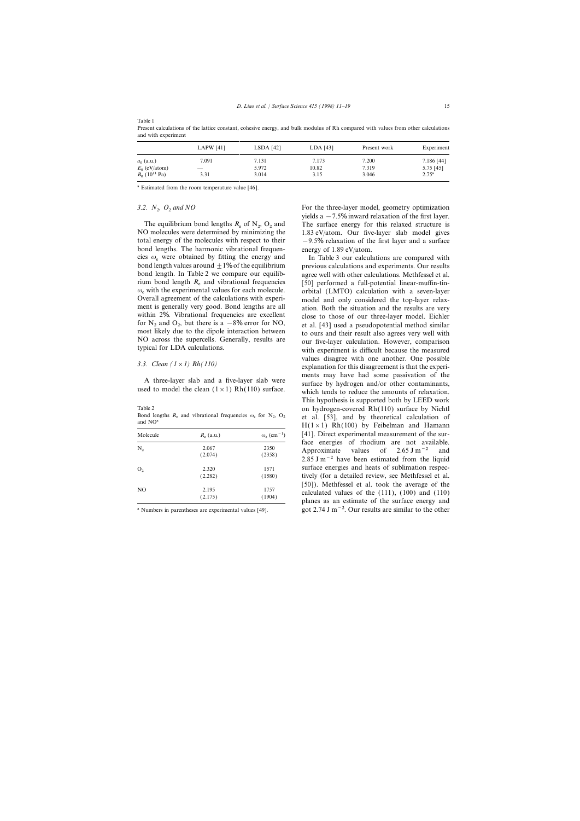|                                                                | LAPW $[41]$   | $LSDA$ [42]             | LDA [43]               | Present work            | Experiment                                |
|----------------------------------------------------------------|---------------|-------------------------|------------------------|-------------------------|-------------------------------------------|
| $a_0$ (a.u.)<br>$E_0$ (eV/atom)<br>$B_0$ (10 <sup>11</sup> Pa) | 7.091<br>3.31 | 7.131<br>5.972<br>3.014 | 7.173<br>10.82<br>3.15 | 7.200<br>7.319<br>3.046 | 7.186 [44]<br>5.75 [45]<br>$2.75^{\rm a}$ |

Present calculations of the lattice constant, cohesive energy, and bulk modulus of Rh compared with values from other calculations and with experiment

<sup>a</sup> Estimated from the room temperature value [46].

# 3.2.  $N_2$ ,  $O_2$  and NO

Table 1

The equilibrium bond lengths  $R_e$  of  $N_2$ ,  $O_2$  and NO molecules were determined by minimizing the total energy of the molecules with respect to their  $-9.5\%$  relaxation of the first layer and a surface bond lengths. The harmonic vibrational frequen-<br>energy of 1.89 eV/atom. cies  $\omega_e$  were obtained by fitting the energy and In Table 3 our calculations are compared with bond length values around  $\pm 1\%$  of the equilibrium previous calculations and experiments. Our results bond length values around  $\pm 1\%$  of the equilibrium rium bond length  $R_e$  and vibrational frequencies [50] performed a full-potential linear-muffin-tin-<br> $\omega_e$  with the experimental values for each molecule. critical (LMTO) calculation with a seven-layer  $\omega_e$  with the experimental values for each molecule. orbital (LMTO) calculation with a seven-layer<br>Overall agreement of the calculations with experi-<br>model and only considered the ton-layer relax-Overall agreement of the calculations with experi-<br>model and only considered the top-layer relax-<br>ment is generally very good. Bond lengths are all<br>ation Both the situation and the results are very within 2%. Vibrational frequencies are excellent close to those of our three-layer model. Eichler for  $N_2$  and  $O_2$ , but there is a  $-8\%$  error for NO,<br>most likely due to the dipole interaction between

Bond lengths  $R_e$  and vibrational frequencies  $\omega_e$  for  $N_2$ ,  $O_2$  and  $NO^a$ 

| Molecule       | $R_e$ (a.u.) | $\omega_{\rm e}$ (cm <sup>-1</sup> ) |
|----------------|--------------|--------------------------------------|
| $\rm N_2$      | 2.067        | 2350                                 |
|                | (2.074)      | (2358)                               |
| O <sub>2</sub> | 2.320        | 1571                                 |
|                | (2.282)      | (1580)                               |
| NO             | 2.195        | 1757                                 |
|                | (2.175)      | (1904)                               |

For the three-layer model, geometry optimization yields a  $-7.5\%$  inward relaxation of the first layer. The surface energy for this relaxed structure is 1.83 eV/atom. Our five-layer slab model gives

bond length. In Table 2 we compare our equilib- agree well with other calculations. Methfessel et al. ation. Both the situation and the results are very for  $N_2$  and  $O_2$ , but there is a  $-8\%$  error for NO,<br>most likely due to the dipole interaction between<br>NO across the supercells. Generally, results are<br>typical for LDA calculations.<br>with experiment is difficult becaus values disagree with one another. One possible *3.3. Clean (1*×*1) Rh(110)* explanation for this disagreement is that the experi-A three-layer slab and a five-layer slab were<br>used to model the clean  $(1 \times 1)$  Rh(110) surface by hydrogen and/or other contaminants,<br>which tends to reduce the amounts of relaxation. This hypothesis is supported both by LEED work Table 2 on hydrogen-covered Rh(110) surface by Nichtl et al. [53], and by theoretical calculation of  $H(1\times1)$  Rh(100) by Feibelman and Hamann [41]. Direct experimental measurement of the surface energies of rhodium are not available. Approximate values of 2.65 J m<sup>-2</sup> and 2.85 J m<sup>-2</sup> have been estimated from the liquid surface energies and heats of sublimation respectively (for a detailed review, see Methfessel et al. [50]). Methfessel et al. took the average of the calculated values of the  $(111)$ ,  $(100)$  and  $(110)$  planes as an estimate of the surface energy and <sup>a</sup> Numbers in parentheses are experimental values [49]. got 2.74 J m<sup>-2</sup>. Our results are similar to the other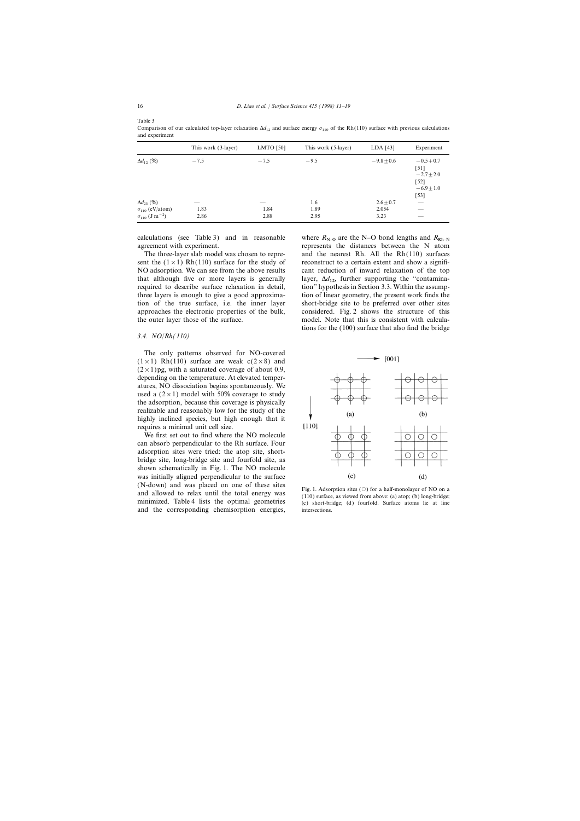Table 3

This work (3-layer) LMTO [50] This work (5-layer) LDA [43] Experiment  $\Delta d_{12}$  (%)  $\frac{1}{12}$  (%)  $-7.5$   $-9.5$   $-9.5$   $-9.8 \pm 0.6$   $-0.5+0.7$ [51]  $-2.7 \pm 2.0$ [52]  $-6.9 \pm 1.0$ [53]  $\Delta d_{23} (\%)$  $\frac{1}{23}$  (%) —  $\frac{1}{23}$  (%) —  $\frac{1}{23}$  (%) —  $\frac{2.6 \pm 0.7}{2.954}$  —  $\sigma_{110}$  (eV/atom)  $\frac{110}{110}$  (eV/atom) 1.83 1.84 1.89 2.054 —  $\sigma_{110}$  (J m<sup>-2</sup>)  $110 \text{ (J m}^{-2})$  2.86 2.88 2.95 3.23 —

Comparison of our calculated top-layer relaxation  $\Delta d_{12}$  and surface energy  $\sigma_{110}$  of the Rh(110) surface with previous calculations and experiment

calculations (see Table 3) and in reasonable where  $R_{N-0}$  are the N–O bond lengths and  $R_{Rh-N}$  agreement with experiment. represents the distances between the N atom

sent the  $(1 \times 1)$  Rh(110) surface for the study of reconstruct to a certain extent and show a signifi-NO adsorption. We can see from the above results cant reduction of inward relaxation of the top that although five or more layers is generally layer,  $\Delta d_{12}$ , further supporting the "contamina-<br>negative the describe surface relaxation in detail the ine<sup>32</sup> hunationis in Section 2.2. Within the economy required to describe surface relaxation in detail, tion'' hypothesis in Section 3.3. Within the assumpthree layers is enough to give a good approxima- tion of linear geometry, the present work finds the tion of the true surface, i.e. the inner layer short-bridge site to be preferred over other sites approaches the electronic properties of the bulk, considered. Fig. 2 shows the structure of this the outer layer those of the surface. model. Note that this is consistent with calcula-

## *3.4. NO*/*Rh(110)*

The only patterns observed for NO-covered  $(1 \times 1)$  Rh(110) surface are weak  $c(2 \times 8)$  and  $(2 \times 1)$  pg, with a saturated coverage of about 0.9, depending on the temperature. At elevated temperatures, NO dissociation begins spontaneously. We used a  $(2 \times 1)$  model with 50% coverage to study the adsorption, because this coverage is physically realizable and reasonably low for the study of the highly inclined species, but high enough that it requires a minimal unit cell size.

We first set out to find where the NO molecule can absorb perpendicular to the Rh surface. Four adsorption sites were tried: the atop site, shortbridge site, long-bridge site and fourfold site, as shown schematically in Fig. 1. The NO molecule was initially aligned perpendicular to the surface (N-down) and was placed on one of these sites<br>and allowed to relax until the total energy was<br>minimized. Table 4 lists the optimal geometries<br>(c) short-bridge; (d) fourfold. Surface atoms lie at line and the corresponding chemisorption energies, intersections.

The three-layer slab model was chosen to repre- and the nearest Rh. All the Rh(110) surfaces tions for the (100) surface that also find the bridge

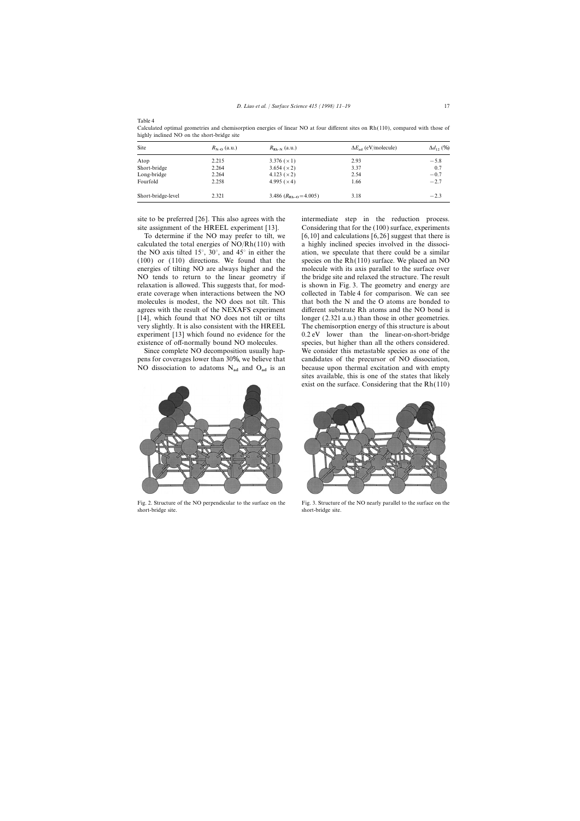| ٧ |  |  |  |
|---|--|--|--|
|---|--|--|--|

| Site               | $R_{N-0}$ (a.u.) | $R_{\text{Rh-N}}$ (a.u.)   | $\Delta E_{ad}$ (eV/molecule) | $\Delta d_{12}$ (%) |
|--------------------|------------------|----------------------------|-------------------------------|---------------------|
| Atop               | 2.215            | 3.376 $(\times 1)$         | 2.93                          | $-5.8$              |
| Short-bridge       | 2.264            | 3.654 $(x 2)$              | 3.37                          | 0.7                 |
| Long-bridge        | 2.264            | 4.123 $(x 2)$              | 2.54                          | $-0.7$              |
| Fourfold           | 2.258            | 4.995 $(x 4)$              | 1.66                          | $-2.7$              |
| Short-bridge-level | 2.321            | 3.486 $(R_{Rh-O} = 4.005)$ | 3.18                          | $-2.3$              |

Calculated optimal geometries and chemisorption energies of linear NO at four different sites on Rh(110), compared with those of highly inclined NO on the short-bridge site

site to be preferred [26]. This also agrees with the intermediate step in the reduction process.

calculated the total energies of NO/Rh(110) with a highly inclined species involved in the dissoci-(100) or (110) directions. We found that the species on the Rh(110) surface. We placed an NO energies of tilting NO are always higher and the molecule with its axis parallel to the surface over NO tends to return to the linear geometry if the bridge site and relaxed the structure. The result relaxation is allowed. This suggests that, for mod- is shown in Fig. 3. The geometry and energy are erate coverage when interactions between the NO collected in Table 4 for comparison. We can see molecules is modest, the NO does not tilt. This that both the N and the O atoms are bonded to agrees with the result of the NEXAFS experiment different substrate Rh atoms and the NO bond is [14], which found that NO does not tilt or tilts longer (2.321 a.u.) than those in other geometries. very slightly. It is also consistent with the HREEL The chemisorption energy of this structure is about experiment [13] which found no evidence for the 0.2 eV lower than the linear-on-short-bridge existence of off-normally bound NO molecules. species, but higher than all the others considered.



short-bridge site. Short-bridge site.

site assignment of the HREEL experiment [13]. Considering that for the (100) surface, experiments To determine if the NO may prefer to tilt, we  $[6,10]$  and calculations  $[6,26]$  suggest that there is the NO axis tilted 15°, 30°, and 45° in either the ation, we speculate that there could be a similar Since complete NO decomposition usually hap- We consider this metastable species as one of the pens for coverages lower than 30%, we believe that candidates of the precursor of NO dissociation, NO dissociation to adatoms  $N_{ad}$  and  $O_{ad}$  is an because upon thermal excitation and with empty sites available, this is one of the states that likely exist on the surface. Considering that the Rh(110)



Fig. 2. Structure of the NO perpendicular to the surface on the Fig. 3. Structure of the NO nearly parallel to the surface on the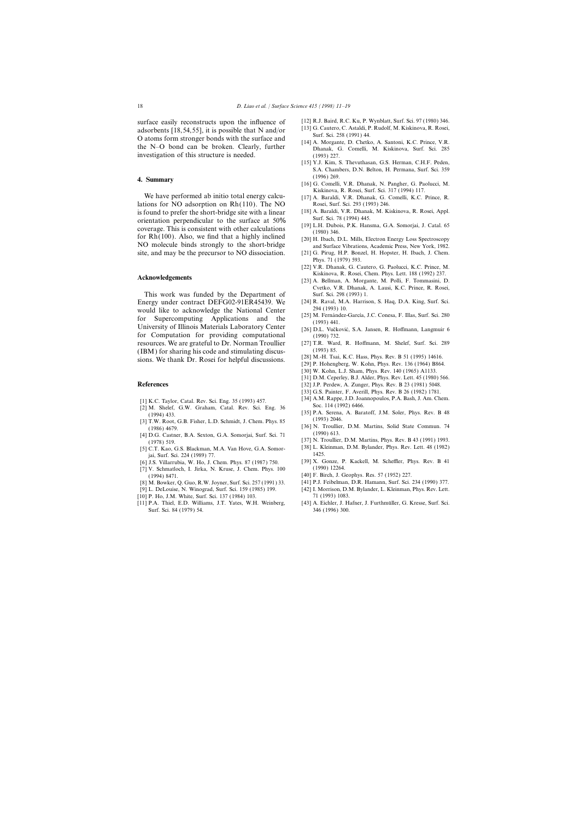surface easily reconstructs upon the influence of [12] R.J. Baird, R.C. Ku, P. Wynblatt, Surf. Sci. 97 (1980) 346. subsetimate 118 54 551 it is possible that N and/or [13] G. Cautero, C. Astaldi, P. Rudolf, M. Kiskinova, R adsorbents  $[18, 54, 55]$ , it is possible that N and/or  $\frac{[13] \text{ G. Cautero, C. Astand, P}}{[13] \text{ G. Cautero, C. Astadol, P}}$ O atoms form stronger bonds with the surface and<br>the N-O bond can be broken. Clearly, further [14] A. Morgante, D. Chetko, A. Santoni, K.C. Prince, V.R.<br>Dhanak, G. Comelli, M. Kiskinova, Surf. Sci. 285 investigation of this structure is needed. (1993) 227.

We have performed ab initio total energy calcu-<br>[17] A. Baraldi, V.R. Dhanak, G. Comelli, K.C. Prince, R. lations for NO adsorption on  $Rh(110)$ . The NO Rosei, Surf. Sci. 293 (1993) 246. is found to prefer the short-bridge site with a linear [18] A. Baraldi, V.R. Dhanak, M. Kiskinova, R. Rosei, Appl. crientation perpendicular to the surface at  $50\%$  [1974] Surf. Sci. 78 (1994) 445. orientation perpendicular to the surface at 50%<br>Surf. Sci. 78 (1994) 445.<br>[19] L.H. Dubois, P.K. Hansma, G.A. Somorjai, J. Catal. 65 coverage. This is consistent with other calculations<br>for Rh(100). Also, we find that a highly inclined<br>[20] H. Ibach, D.L. Mills, Electron Energy Loss Spectroscopy NO molecule binds strongly to the short-bridge and Surface Vibrations, Academic Press, New York, 1982. site, and may be the precursor to NO dissociation. [21] G. Pirug, H.P. Bonzel, H. Hopster, H. Ibach, J. Chem.

This work was funded by the Department of Surf. Sci. 298 (1993) 1. Energy under contract DEFG02-91ER45439. We [24] R. Raval, M.A. Harrison, S. Haq, D.A. King, Surf. Sci.<br>would like to acknowledge the National Center 294 (1993) 10. would like to acknowledge the National Center<br>for Supercomputing Applications and the [25] M. Fernández-García, J.C. Conesa, F. Illas, Surf. Sci. 280<br>University of Illinois Materials Laboratory Center [26] D.L. Vučković, S for Computation for providing computational (1990) 732. resources. We are grateful to Dr. Norman Troullier [27] T.R. Ward, R. Hoffmann, M. Shelef, Surf. Sci. 289 (IBM) for sharing his code and stimulating discus-<br>sions. We thank Dr. Rosei for helpful discussions. [28] M.-H. Tsai, K.C. Hass, Phys. Rev. B 51 (1995) 14616.<br>[29] P. Hohengberg, W. Kohn, Phys. Rev. 136 (1964) B864.

- 
- 
- 
- [37] N. Troullier, D.M. Martins, Phys. Rev. B 43 (1991) 1993.<br>C.T. Kao G.S. Blackman, M.A. Van Hove G.A. Somor- [38] L. Kleinman, D.M. Bylander, Phys. Rev. Lett. 48 (1982)
- [38] L. Kleinman, M.A. Van Hove, G.A. Somor-<br>1425. Rev. Rev. 224 (1989) 77 jai, Surf. Sci. 224 (1989) 77.<br>
15 Villarrubia W Ho J Chem Phys 87 (1987) 750 [39] X. Gonze, P. Kackell, M. Scheffler, Phys. Rev. B 41
- [6] J.S. Villarrubia, W. Ho, J. Chem. Phys. 87 (1987) 750. [39] X. Gonze, P. [31] V. Schmatloch, I. Jirka, N. Kruse, J. Chem. Phys. 100 (1990) 12264.
- [7] V. Schmatloch, I. Jirka, N. Kruse, J. Chem. Phys. 100 (1994) 8471. [40] F. Birch, J. Geophys. Res. 57 (1952) 227.
- 
- 
- 
- [11] P.A. Thiel, E.D. Williams, J.T. Yates, W.H. Weinberg, Surf. Sci. 84 (1979) 54. 346 (1996) 300.
- 
- 
- 
- [15] Y.J. Kim, S. Thevuthasan, G.S. Herman, C.H.F. Peden, S.A. Chambers, D.N. Belton, H. Permana, Surf. Sci. 359 (1996) 269. **4. Summary** [16] G. Comelli, V.R. Dhanak, N. Pangher, G. Paolucci, M.
	- Kiskinova, R. Rosei, Surf. Sci. 317 (1994) 117.
	-
	-
	-
	-
	- Phys. 71 (1979) 593.
- [22] V.R. Dhanak, G. Cautero, G. Paolucci, K.C. Prince, M. Kiskinova, R. Rosei, Chem. Phys. Lett. 188 (1992) 237.<br> **Acknowledgements Exercía Exercía Exercía Exercía Exercía Exercía Exercía Exercía Exercía Exercía Exercía Exercía E** 
	- Cvetko, V.R. Dhanak, A. Lausi, K.C. Prince, R. Rosei,
	-
	-
	-
	-
	-
	-
	- [30] W. Kohn, L.J. Sham, Phys. Rev. 140 (1965) A1133.
	- [31] D.M. Ceperley, B.J. Alder, Phys. Rev. Lett. 45 (1980) 566.
- **References** [32] J.P. Perdew, A. Zunger, Phys. Rev. B 23 (1981) 5048.
	- [33] G.S. Painter, F. Averill, Phys. Rev. B 26 (1982) 1781.
	-
- 11 K.C. Taylor, Catal. Rev. Sci. Eng. 35 (1993) 457. [34] A.M. Rappe, J.D. Joannopoulos, P.A. Bash, J. Am. Chem.<br>
22] M. Shelef, G.W. Graham, Catal. Rev. Sci. Eng. 36 [35] P.A. Serena, A. Baratoff, J.M. Soler, Phys. Rev. B
	-
	-
	-
	-
	-
- [8] M. Bowker, Q. Guo, R.W. Joyner, Surf. Sci. 257 (1991) 33. [41] P.J. Feibelman, D.R. Hamann, Surf. Sci. 234 (1990) 377.
- [9] L. DeLouise, N. Winograd, Surf. Sci. 159 (1985) 199. [42] I. Morrison, D.M. Bylander, L. Kleinman, Phys. Rev. Lett. [10] P. Ho, J.M. White, Surf. Sci. 137 (1984) 103. 71 (1993) 1083.
	-